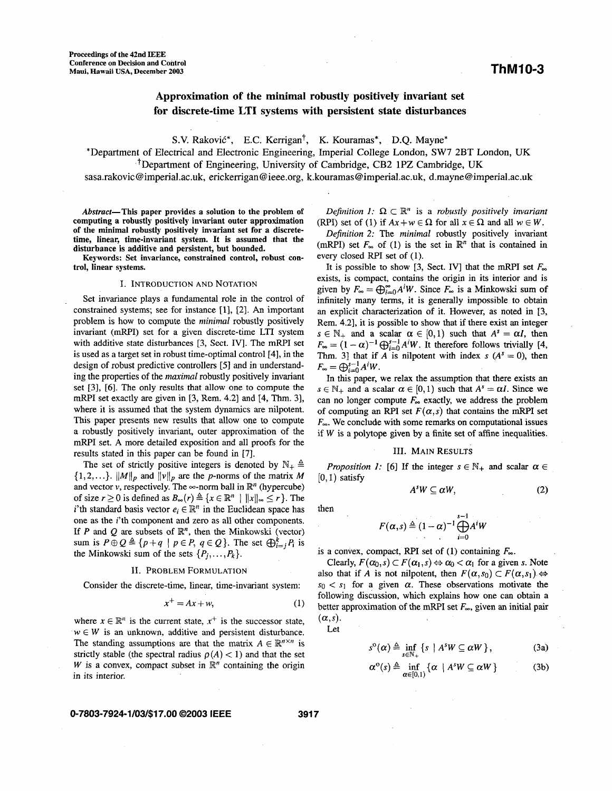# **Approximation of the minimal robustly positively invariant set for discrete-time LTI systems with persistent state disturbances**

S.V. Raković<sup>\*</sup>, E.C. Kerrigan<sup>†</sup>, K. Kouramas<sup>\*</sup>, D.Q. Mayne<sup>\*</sup>

\*Department of Electrical and Electronic Engineering, Imperial College London, SW7 **2BT** London, UK ?Department of Engineering, University *of* Cambridge, CB2 **1PZ** Cambridge, UK

[sasa.rakovic@imperial.ac.uk](mailto:sasa.rakovic@imperial.ac.uk), [erickerrigan@ieee.org,](mailto:erickerrigan@ieee.org) **[k.kouramas@imperial.ac.uk,](mailto:k.kouramas@imperial.ac.uk)** [d.mayne@imperial.ac.uk](mailto:d.mayne@imperial.ac.uk) 

Abstract-This paper provides a solution to the problem of computing a robustly positively invariant outer approximation of the minimal robustly positively invariant set for a discretetime, linear, time-invariant system. It is assumed that the disturbance is additive and persistent, but bounded.

Keywords: Set invariance, constrained control, robust control, linear systems.

#### I. INTRODUCTION AND NOTATION

Set invariance plays a fundamental role in the control of constrained systems; see for instance [l], *[2].* **An** important problem is how to compute the *minimal* robustly positively invariant (mRPI) set for a given discrete-time LTI system with additive state disturbances [3, Sect. IV]. The mRPI set is used as a target set in robust time-optimal control [4], in the design of robust predictive controllers *[5]* and in understanding the properties of the *maximal* robustly positively invariant set [3], [6]. The only results that allow one to compute the mRPI set exactly are given in  $[3,$  Rem. 4.2 $]$  and  $[4,$  Thm. 3 $]$ , where it is assumed that the system dynamics are nilpotent. This paper presents new results that allow one to compute a robustly positively invariant, outer approximation of the mRPI set. A more detailed exposition and all proofs for the results stated in this paper can be found in [7].

The set of strictly positive integers is denoted by  $\mathbb{N}_+$   $\triangleq$  $\{1,2,...\}$ .  $||M||_p$  and  $||v||_p$  are the p-norms of the matrix M and vector  $v$ , respectively. The  $\infty$ -norm ball in  $\mathbb{R}^n$  (hypercube) of size  $r \ge 0$  is defined as  $B_{\infty}(r) \triangleq \{x \in \mathbb{R}^n \mid ||x||_{\infty} \le r\}$ . The i'th standard basis vector  $e_i \in \mathbb{R}^n$  in the Euclidean space has one as the i'th component and zero as all other components. If *P* and *Q* are subsets of  $\mathbb{R}^n$ , then the Minkowski (vector) sum is  $P \oplus Q \triangleq \{p+q \mid p \in P, q \in Q\}$ . The set  $\bigoplus_{i=1}^{k} P_i$  is the Minkowski sum of the sets  $\{P_i, \ldots, P_k\}.$ 

#### 11. PROBLEM FORMULATION

Consider the discrete-time, linear, time-invariant system:

$$
x^+ = Ax + w,\tag{1}
$$

where  $x \in \mathbb{R}^n$  is the current state,  $x^+$  is the successor state,  $w \in W$  is an unknown, additive and persistent disturbance. The standing assumptions are that the matrix  $A \in \mathbb{R}^{n \times n}$  is strictly stable (the spectral radius  $\rho(A) < 1$ ) and that the set *W* is a convex, compact subset in  $\mathbb{R}^n$  containing the origin in its interior.

## **0-7803-7924-1/03/\$17.00 ©2003 IEEE 3917**

*Definition 1:*  $\Omega \subset \mathbb{R}^n$  is a *robustly positively invariant* (RPI) set of (1) if  $Ax + w \in \Omega$  for all  $x \in \Omega$  and all  $w \in W$ .

*Definition 2:* The *minimal* robustly positively invariant (mRPI) set  $F_{\infty}$  of (1) is the set in  $\mathbb{R}^{n}$  that is contained in every closed RPI set of (1).

It is possible to show [3, Sect. IV] that the mRPI set  $F_{\infty}$ exists, is compact, contains the origin in its interior and is given by  $F_{\infty} = \bigoplus_{i=0}^{\infty} A^i W$ . Since  $F_{\infty}$  is a Minkowski sum of infinitely many terms, it is generally impossible to obtain an explicit characterization of it. However, as noted in [3, Rem. 4.21, it is possible to show that if there exist *an* integer  $s \in \mathbb{N}_+$  and a scalar  $\alpha \in [0,1)$  such that  $A^s = \alpha I$ , then  $F_{\infty} = (1 - \alpha)^{-1} \bigoplus_{i=0}^{s-1} A^i W$ . It therefore follows trivially [4, Thm. 3] that if *A* is nilpotent with index  $s(A^s = 0)$ , then  $F_{\infty} = \bigoplus_{i=0}^{s-1} A^i W.$ 

In this paper, we relax the assumption that there exists *an*   $s \in \mathbb{N}_+$  and a scalar  $\alpha \in [0,1)$  such that  $A^s = \alpha I$ . Since we can no longer compute  $F_{\infty}$  exactly, we address the problem of computing an RPI set  $F(\alpha, s)$  that contains the mRPI set  $F_{\infty}$ . We conclude with some remarks on computational issues if W is a polytope given by a finite set of affine inequalities.

#### 111. MAIN **RESULTS**

*Proposition 1:* [6] If the integer  $s \in \mathbb{N}_+$  and scalar  $\alpha \in$  $[0,1)$  satisfy

$$
A^s W \subseteq \alpha W, \tag{2}
$$

then

$$
F(\alpha,s) \triangleq (1-\alpha)^{-1} \bigoplus_{i=0}^{s-1} A^i W
$$

is a convex, compact, RPI set of  $(1)$  containing  $F_{\infty}$ .

Clearly,  $F(\alpha_0, s) \subset F(\alpha_1, s) \Leftrightarrow \alpha_0 < \alpha_1$  for a given s. Note also that if *A* is not nilpotent, then  $F(\alpha, s_0) \subset F(\alpha, s_1) \Leftrightarrow$  $s_0 < s_1$  for a given  $\alpha$ . These observations motivate the following discussion, which explains how one can obtain a better approximation of the mRPI set  $F_{\infty}$ , given an initial pair  $(\alpha, s)$ .

Let

$$
s^{\circ}(\alpha) \triangleq \inf_{s \in \mathbb{N}_+} \left\{ s \mid A^s W \subseteq \alpha W \right\},\tag{3a}
$$

$$
\alpha^{\circ}(s) \triangleq \inf_{\alpha \in [0,1)} \{ \alpha \mid A^{s}W \subseteq \alpha W \}
$$
 (3b)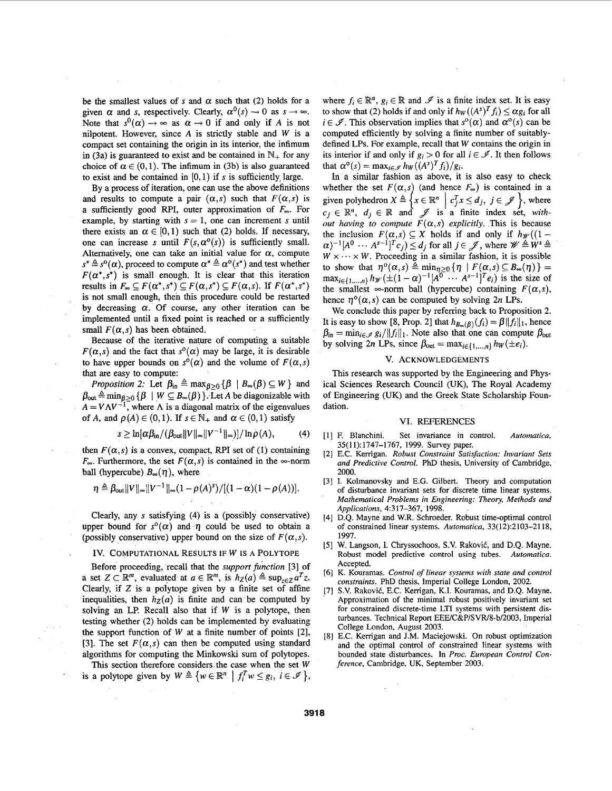be the smallest values of *s* and  $\alpha$  such that (2) holds for a given  $\alpha$  and *s*, respectively. Clearly,  $\alpha^0(s) \rightarrow 0$  as  $s \rightarrow \infty$ . Note that  $s^0(\alpha) \rightarrow \infty$  as  $\alpha \rightarrow 0$  if and only if A is not nilpotent. However, since *A* is strictly stable and W is a compact set containing the origin in its interior, the infimum in (3a) is guaranteed to exist and be contained in  $\mathbb{N}_+$  for any choice of  $\alpha \in (0,1)$ . The infimum in (3b) is also guaranteed to exist and be contained in  $[0, 1)$  if s is sufficiently large.

By a process of iteration, one can use the above definitions and results to compute a pair  $(\alpha, s)$  such that  $F(\alpha, s)$  is a sufficiently good RPI, outer approximation of  $F_{\infty}$ . For example, by starting with  $s = 1$ , one can increment *s* until there exists an  $\alpha \in [0,1)$  such that (2) holds. If necessary, one can increase *s* until  $F(s, \alpha^{\circ}(s))$  is sufficiently small. Alternatively, one can take an initial value for  $\alpha$ , compute  $s^* \triangleq s^{\circ}(\alpha)$ , proceed to compute  $\alpha^* \triangleq \alpha^{\circ}(s^*)$  and test whether  $F(\alpha^*, s^*)$  is small enough. It is clear that this iteration results in  $F_{\infty} \subseteq F(\alpha^*, s^*) \subseteq F(\alpha, s^*) \subseteq F(\alpha, s)$ . If  $F(\alpha^*, s^*)$ is not small enough, then this procedure could be restarted by decreasing  $\alpha$ . Of course, any other iteration can be implemented until a fixed point is reached or a sufficiently small  $F(\alpha, s)$  has been obtained.

Because of the iterative nature of computing a suitable  $F(\alpha, s)$  and the fact that  $s^{\circ}(\alpha)$  may be large, it is desirable to have upper bounds on  $s^{\circ}(\alpha)$  and the volume of  $F(\alpha, s)$ that are easy to compute:

*Proposition 2:* Let  $\beta_{\text{in}} \triangleq \max_{\beta \geq 0} {\{\beta \mid B_{\infty}(\beta) \subseteq W\}}$  and  $\beta_{\text{out}} \triangleq \min_{\beta \geq 0} {\{\beta \mid W \subseteq B_{\infty}(\beta)\}.}$  Let A be diagonizable with  $A = V\Lambda V^{-1}$ , where  $\Lambda$  is a diagonal matrix of the eigenvalues of A, and  $\rho(A) \in (0,1)$ . If  $s \in \mathbb{N}_+$  and  $\alpha \in (0,1)$  satisfy

$$
s \geq \ln[\alpha\beta_{\rm in}/(\beta_{\rm out}||V||_{\infty}||V^{-1}||_{\infty})]/\ln\rho(A), \qquad (4)
$$

then  $F(\alpha, s)$  is a convex, compact, RPI set of (1) containing  $F_{\infty}$ . Furthermore, the set  $F(\alpha, s)$  is contained in the  $\infty$ -norm ball (hypercube)  $B_{\infty}(\eta)$ , where

$$
\eta \triangleq \beta_{\text{out}} \|V\|_{\infty} \|V^{-1}\|_{\infty} (1 - \rho(A)^s) / [(1 - \alpha)(1 - \rho(A))].
$$

Clearly, any s satisfying **(4)** is a (possibly conservative) upper bound for  $s^{\circ}(\alpha)$  and  $\eta$  could be used to obtain a (possibly conservative) upper bound on the size of  $F(\alpha, s)$ .

#### . Iv. COMPUTATIONAL RESULTS **IF** w IS A POLYTOPE

Before proceeding, recall that the *supporlfunction* [3] of a set  $Z \subset \mathbb{R}^m$ , evaluated at  $a \in \mathbb{R}^m$ , is  $h_Z(a) \triangleq \sup_{z \in Z} a^T z$ . Clearly, if  $Z$  is a polytope given by a finite set of affine inequalities, then  $h_Z(a)$  is finite and can be computed by solving an LP. Recall also that if  $W$  is a polytope, then testing whether *(2)* holds can be implemented by evaluating the support function of W at a finite number of points *[2],*  [3]. The set  $F(\alpha, s)$  can then be computed using standard algorithms for computing the Minkowski sum of polytopes.

This section therefore considers the case when the set  $W$ is a polytope given by  $W \triangleq \{w \in \mathbb{R}^n \mid f_i^T w \leq g_i, i \in \mathcal{I}\}\,$  where  $f_i \in \mathbb{R}^n$ ,  $g_i \in \mathbb{R}$  and  $\mathscr{I}$  is a finite index set. It is easy to show that (2) holds if and only if  $h_W((A^s)^T f_i) \leq \alpha g_i$  for all  $i \in \mathscr{I}$ . This observation implies that  $s^{\circ}(\alpha)$  and  $\alpha^{\circ}(s)$  can be computed efficiently by solving a finite number of suitablydefined LPs. For example, recall that W contains the origin **in**  its interior if and only if  $g_i > 0$  for all  $i \in \mathcal{I}$ . It then follows that  $\alpha^{0}(s) = \max_{i \in \mathcal{I}} h_{W}((A^{s})^{T}f_{i})/g_{i}$ .

In a similar fashion as above, it is also easy to check whether the set  $F(\alpha, s)$  (and hence  $F_{\infty}$ ) is contained in a given polyhedron  $X \triangleq \{x \in \mathbb{R}^n \mid c_j^T x \leq d_j, j \in \mathcal{J}\}$ , where  $c_j \in \mathbb{R}^n$ ,  $d_j \in \mathbb{R}$  and  $\mathcal{J}$  is a finite index set, *without having to compute*  $F(\alpha, s)$  *explicitly. This is because* the inclusion  $F(\alpha, s) \subseteq X$  holds if and only if  $h_{\mathscr{W}}((1 (\alpha)^{-1}[A^0 \cdots A^{s-1}]^T c_j) \le d_j$  for all  $j \in \mathcal{J}$ , where  $\mathcal{W} \triangleq W^s \triangleq 0$  $W \times \cdots \times W$ . Proceeding in a similar fashion, it is possible to show that  $\eta^o(\alpha,s) \triangleq \min_{\eta \geq 0} {\eta \mid F(\alpha,s) \subseteq B_\infty(\eta)} = \max_{i \in \{1,\dots,n\}} h_{\mathscr{W}}(\pm (1-\alpha)^{-1}[A^0 \cdots A^{s-1}]^T e_i)$  is the size of the smallest  $\infty$ -norm ball (hypercube) containing  $F(\alpha, s)$ , hence  $\eta^{\circ}(\alpha, s)$  can be computed by solving 2n LPs.

We conclude this paper by referring back to Proposition *2.*  It is easy to show [8, Prop. 2] that  $h_{B_{\infty}(\beta)}(f_i) = \beta ||f_i||_1$ , hence  $\beta_{\text{in}} = \min_{i \in \mathcal{I}} g_i / ||f_i||_1$ . Note also that one can compute  $\beta_{\text{out}}$ by solving 2n LPs, since  $\beta_{\text{out}} = \max_{i \in \{1, ..., n\}} h_w(\pm e_i)$ .

#### **V.** ACKNOWLEDGEMENTS

This research was supported by the Engineering and Physical Sciences Research Council (UK), The Royal Academy of Engineering (UK) and the Greek State Scholarship Foundation.

#### VI. REFERENCES

- [1] F. Blanchini. Set invariance in control. Automatica, 35(11):1747-1767, 1999. Survey paper.
- I21 **E.C.** Kemgan. *Robust Constmint Satisfaction: Invariant Sets and Predictive Control.* PhD thesis, University of Cambridge, 2000.
- [31 I. Kolmanovsky and E.G. Gilbert. Theory and computation of disturbance invariant sets for discrete time linear systems. *Mathematical Problems in Engineering: Theory, Methods and Applications,* 4:317-367, 1998.
- $[4]$ D.Q. Mayne and W.R. Schroeder. Robust time-optimal control of constrained linear systems. *Automatica,* 33(12):2103-2118, 1997.
- **15** I W. Langson, I. Chryssochoos, S.V. Raković, and D.Q. Mayne. Robust model predictive control using tubes. *Aufomatica.*  Accepted.
- I61 K. Kouramas. *Control* of *linear systems with state and control constraints.* PhD thesis, Imperial College London, 2002.
- [71 S.V. Raković, E.C. Kerrigan, K.I. Kouramas, and D.Q. Mayne. Approximation of the minimal robust positively invariant set for constrained discrete-time LTI systems with persistent disturbances. Technical Report EEE/C&P/SVR/8-b/2003, Imperial College London, August 2003.
- **[81**  E.C. Kemgan and J.M. Maciejowski. On robust optimization and the optimal control of constrained linear systems with bounded state disturbances. In *Proc. European Control Conference,* Cambridge, UK, September 2003.